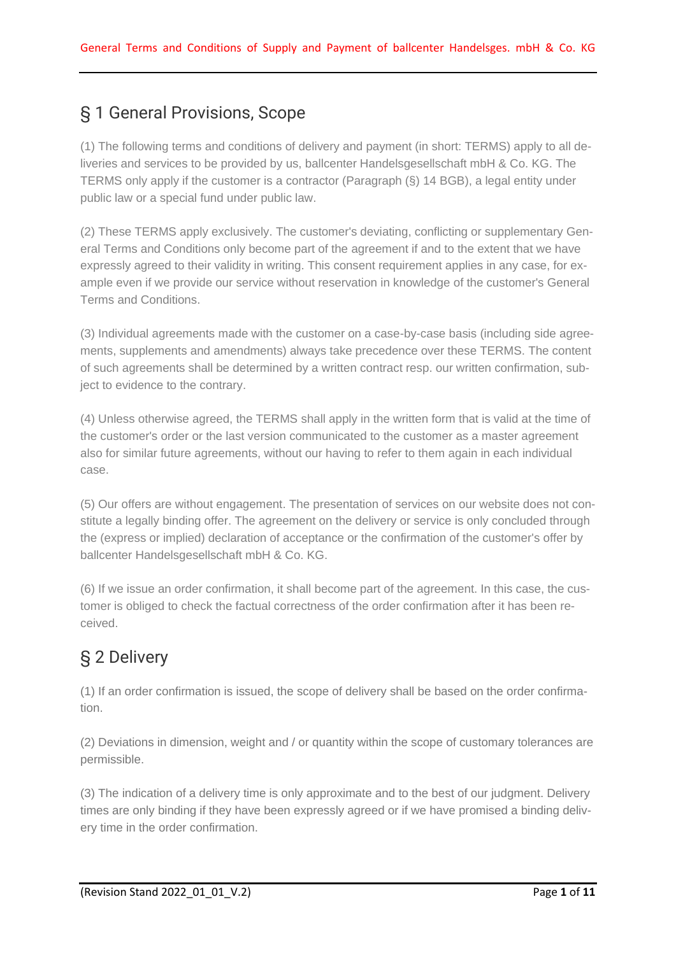# § 1 General Provisions, Scope

(1) The following terms and conditions of delivery and payment (in short: TERMS) apply to all deliveries and services to be provided by us, ballcenter Handelsgesellschaft mbH & Co. KG. The TERMS only apply if the customer is a contractor (Paragraph (§) 14 BGB), a legal entity under public law or a special fund under public law.

(2) These TERMS apply exclusively. The customer's deviating, conflicting or supplementary General Terms and Conditions only become part of the agreement if and to the extent that we have expressly agreed to their validity in writing. This consent requirement applies in any case, for example even if we provide our service without reservation in knowledge of the customer's General Terms and Conditions.

(3) Individual agreements made with the customer on a case-by-case basis (including side agreements, supplements and amendments) always take precedence over these TERMS. The content of such agreements shall be determined by a written contract resp. our written confirmation, subject to evidence to the contrary.

(4) Unless otherwise agreed, the TERMS shall apply in the written form that is valid at the time of the customer's order or the last version communicated to the customer as a master agreement also for similar future agreements, without our having to refer to them again in each individual case.

(5) Our offers are without engagement. The presentation of services on our website does not constitute a legally binding offer. The agreement on the delivery or service is only concluded through the (express or implied) declaration of acceptance or the confirmation of the customer's offer by ballcenter Handelsgesellschaft mbH & Co. KG.

(6) If we issue an order confirmation, it shall become part of the agreement. In this case, the customer is obliged to check the factual correctness of the order confirmation after it has been received.

# § 2 Delivery

(1) If an order confirmation is issued, the scope of delivery shall be based on the order confirmation.

(2) Deviations in dimension, weight and / or quantity within the scope of customary tolerances are permissible.

(3) The indication of a delivery time is only approximate and to the best of our judgment. Delivery times are only binding if they have been expressly agreed or if we have promised a binding delivery time in the order confirmation.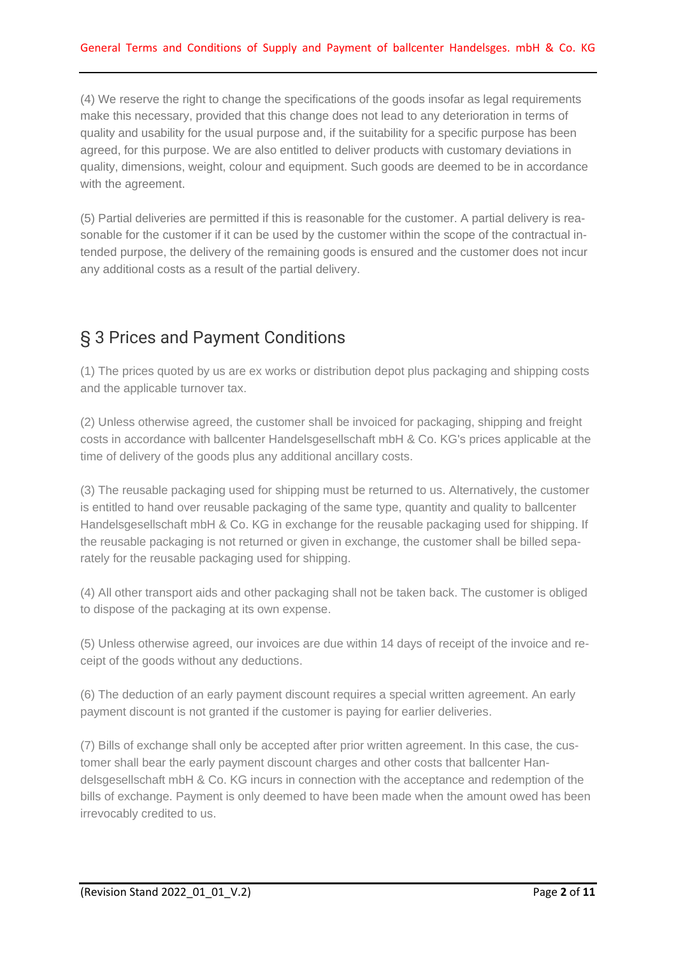(4) We reserve the right to change the specifications of the goods insofar as legal requirements make this necessary, provided that this change does not lead to any deterioration in terms of quality and usability for the usual purpose and, if the suitability for a specific purpose has been agreed, for this purpose. We are also entitled to deliver products with customary deviations in quality, dimensions, weight, colour and equipment. Such goods are deemed to be in accordance with the agreement.

(5) Partial deliveries are permitted if this is reasonable for the customer. A partial delivery is reasonable for the customer if it can be used by the customer within the scope of the contractual intended purpose, the delivery of the remaining goods is ensured and the customer does not incur any additional costs as a result of the partial delivery.

#### § 3 Prices and Payment Conditions

(1) The prices quoted by us are ex works or distribution depot plus packaging and shipping costs and the applicable turnover tax.

(2) Unless otherwise agreed, the customer shall be invoiced for packaging, shipping and freight costs in accordance with ballcenter Handelsgesellschaft mbH & Co. KG's prices applicable at the time of delivery of the goods plus any additional ancillary costs.

(3) The reusable packaging used for shipping must be returned to us. Alternatively, the customer is entitled to hand over reusable packaging of the same type, quantity and quality to ballcenter Handelsgesellschaft mbH & Co. KG in exchange for the reusable packaging used for shipping. If the reusable packaging is not returned or given in exchange, the customer shall be billed separately for the reusable packaging used for shipping.

(4) All other transport aids and other packaging shall not be taken back. The customer is obliged to dispose of the packaging at its own expense.

(5) Unless otherwise agreed, our invoices are due within 14 days of receipt of the invoice and receipt of the goods without any deductions.

(6) The deduction of an early payment discount requires a special written agreement. An early payment discount is not granted if the customer is paying for earlier deliveries.

(7) Bills of exchange shall only be accepted after prior written agreement. In this case, the customer shall bear the early payment discount charges and other costs that ballcenter Handelsgesellschaft mbH & Co. KG incurs in connection with the acceptance and redemption of the bills of exchange. Payment is only deemed to have been made when the amount owed has been irrevocably credited to us.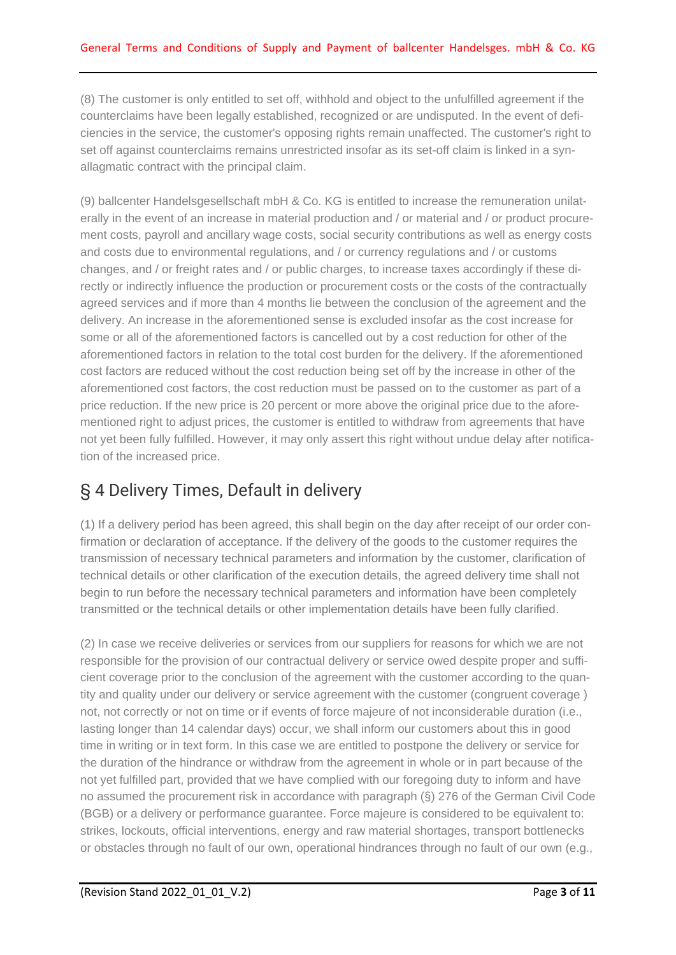(8) The customer is only entitled to set off, withhold and object to the unfulfilled agreement if the counterclaims have been legally established, recognized or are undisputed. In the event of deficiencies in the service, the customer's opposing rights remain unaffected. The customer's right to set off against counterclaims remains unrestricted insofar as its set-off claim is linked in a synallagmatic contract with the principal claim.

(9) ballcenter Handelsgesellschaft mbH & Co. KG is entitled to increase the remuneration unilaterally in the event of an increase in material production and / or material and / or product procurement costs, payroll and ancillary wage costs, social security contributions as well as energy costs and costs due to environmental regulations, and / or currency regulations and / or customs changes, and / or freight rates and / or public charges, to increase taxes accordingly if these directly or indirectly influence the production or procurement costs or the costs of the contractually agreed services and if more than 4 months lie between the conclusion of the agreement and the delivery. An increase in the aforementioned sense is excluded insofar as the cost increase for some or all of the aforementioned factors is cancelled out by a cost reduction for other of the aforementioned factors in relation to the total cost burden for the delivery. If the aforementioned cost factors are reduced without the cost reduction being set off by the increase in other of the aforementioned cost factors, the cost reduction must be passed on to the customer as part of a price reduction. If the new price is 20 percent or more above the original price due to the aforementioned right to adjust prices, the customer is entitled to withdraw from agreements that have not yet been fully fulfilled. However, it may only assert this right without undue delay after notification of the increased price.

## § 4 Delivery Times, Default in delivery

(1) If a delivery period has been agreed, this shall begin on the day after receipt of our order confirmation or declaration of acceptance. If the delivery of the goods to the customer requires the transmission of necessary technical parameters and information by the customer, clarification of technical details or other clarification of the execution details, the agreed delivery time shall not begin to run before the necessary technical parameters and information have been completely transmitted or the technical details or other implementation details have been fully clarified.

(2) In case we receive deliveries or services from our suppliers for reasons for which we are not responsible for the provision of our contractual delivery or service owed despite proper and sufficient coverage prior to the conclusion of the agreement with the customer according to the quantity and quality under our delivery or service agreement with the customer (congruent coverage ) not, not correctly or not on time or if events of force majeure of not inconsiderable duration (i.e., lasting longer than 14 calendar days) occur, we shall inform our customers about this in good time in writing or in text form. In this case we are entitled to postpone the delivery or service for the duration of the hindrance or withdraw from the agreement in whole or in part because of the not yet fulfilled part, provided that we have complied with our foregoing duty to inform and have no assumed the procurement risk in accordance with paragraph (§) 276 of the German Civil Code (BGB) or a delivery or performance guarantee. Force majeure is considered to be equivalent to: strikes, lockouts, official interventions, energy and raw material shortages, transport bottlenecks or obstacles through no fault of our own, operational hindrances through no fault of our own (e.g.,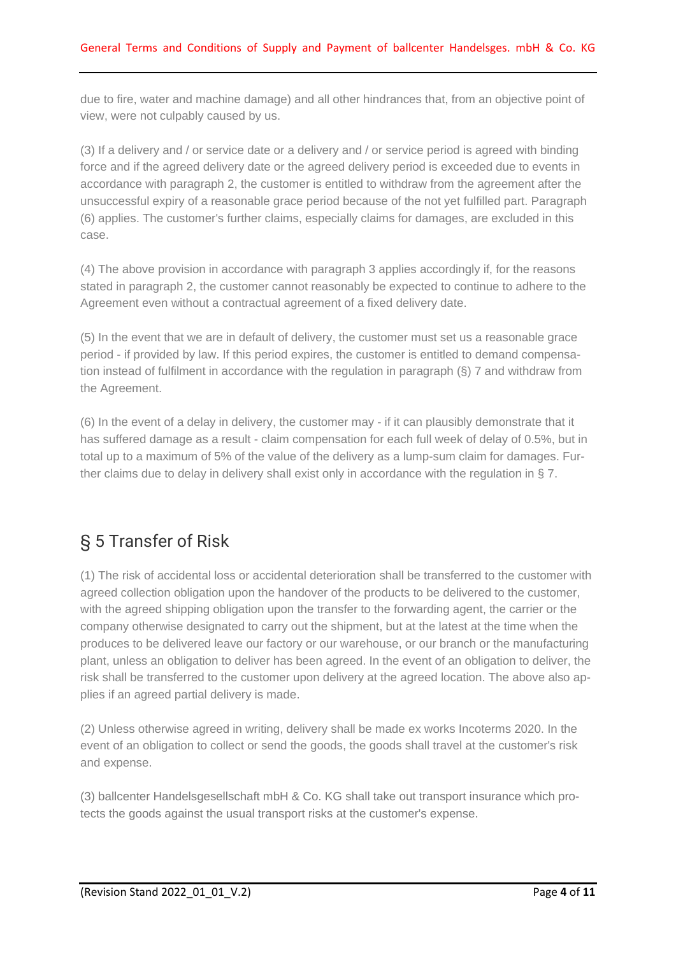due to fire, water and machine damage) and all other hindrances that, from an objective point of view, were not culpably caused by us.

(3) If a delivery and / or service date or a delivery and / or service period is agreed with binding force and if the agreed delivery date or the agreed delivery period is exceeded due to events in accordance with paragraph 2, the customer is entitled to withdraw from the agreement after the unsuccessful expiry of a reasonable grace period because of the not yet fulfilled part. Paragraph (6) applies. The customer's further claims, especially claims for damages, are excluded in this case.

(4) The above provision in accordance with paragraph 3 applies accordingly if, for the reasons stated in paragraph 2, the customer cannot reasonably be expected to continue to adhere to the Agreement even without a contractual agreement of a fixed delivery date.

(5) In the event that we are in default of delivery, the customer must set us a reasonable grace period - if provided by law. If this period expires, the customer is entitled to demand compensation instead of fulfilment in accordance with the regulation in paragraph (§) 7 and withdraw from the Agreement.

(6) In the event of a delay in delivery, the customer may - if it can plausibly demonstrate that it has suffered damage as a result - claim compensation for each full week of delay of 0.5%, but in total up to a maximum of 5% of the value of the delivery as a lump-sum claim for damages. Further claims due to delay in delivery shall exist only in accordance with the regulation in § 7.

## § 5 Transfer of Risk

(1) The risk of accidental loss or accidental deterioration shall be transferred to the customer with agreed collection obligation upon the handover of the products to be delivered to the customer, with the agreed shipping obligation upon the transfer to the forwarding agent, the carrier or the company otherwise designated to carry out the shipment, but at the latest at the time when the produces to be delivered leave our factory or our warehouse, or our branch or the manufacturing plant, unless an obligation to deliver has been agreed. In the event of an obligation to deliver, the risk shall be transferred to the customer upon delivery at the agreed location. The above also applies if an agreed partial delivery is made.

(2) Unless otherwise agreed in writing, delivery shall be made ex works Incoterms 2020. In the event of an obligation to collect or send the goods, the goods shall travel at the customer's risk and expense.

(3) ballcenter Handelsgesellschaft mbH & Co. KG shall take out transport insurance which protects the goods against the usual transport risks at the customer's expense.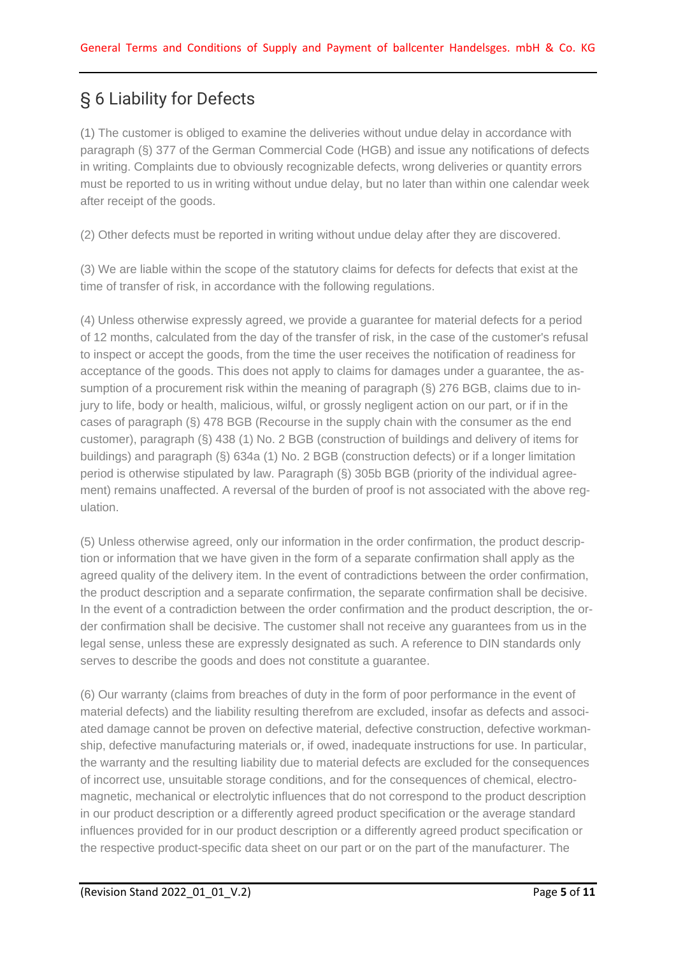# § 6 Liability for Defects

(1) The customer is obliged to examine the deliveries without undue delay in accordance with paragraph (§) 377 of the German Commercial Code (HGB) and issue any notifications of defects in writing. Complaints due to obviously recognizable defects, wrong deliveries or quantity errors must be reported to us in writing without undue delay, but no later than within one calendar week after receipt of the goods.

(2) Other defects must be reported in writing without undue delay after they are discovered.

(3) We are liable within the scope of the statutory claims for defects for defects that exist at the time of transfer of risk, in accordance with the following regulations.

(4) Unless otherwise expressly agreed, we provide a guarantee for material defects for a period of 12 months, calculated from the day of the transfer of risk, in the case of the customer's refusal to inspect or accept the goods, from the time the user receives the notification of readiness for acceptance of the goods. This does not apply to claims for damages under a guarantee, the assumption of a procurement risk within the meaning of paragraph (§) 276 BGB, claims due to injury to life, body or health, malicious, wilful, or grossly negligent action on our part, or if in the cases of paragraph (§) 478 BGB (Recourse in the supply chain with the consumer as the end customer), paragraph (§) 438 (1) No. 2 BGB (construction of buildings and delivery of items for buildings) and paragraph (§) 634a (1) No. 2 BGB (construction defects) or if a longer limitation period is otherwise stipulated by law. Paragraph (§) 305b BGB (priority of the individual agreement) remains unaffected. A reversal of the burden of proof is not associated with the above regulation.

(5) Unless otherwise agreed, only our information in the order confirmation, the product description or information that we have given in the form of a separate confirmation shall apply as the agreed quality of the delivery item. In the event of contradictions between the order confirmation, the product description and a separate confirmation, the separate confirmation shall be decisive. In the event of a contradiction between the order confirmation and the product description, the order confirmation shall be decisive. The customer shall not receive any guarantees from us in the legal sense, unless these are expressly designated as such. A reference to DIN standards only serves to describe the goods and does not constitute a guarantee.

(6) Our warranty (claims from breaches of duty in the form of poor performance in the event of material defects) and the liability resulting therefrom are excluded, insofar as defects and associated damage cannot be proven on defective material, defective construction, defective workmanship, defective manufacturing materials or, if owed, inadequate instructions for use. In particular, the warranty and the resulting liability due to material defects are excluded for the consequences of incorrect use, unsuitable storage conditions, and for the consequences of chemical, electromagnetic, mechanical or electrolytic influences that do not correspond to the product description in our product description or a differently agreed product specification or the average standard influences provided for in our product description or a differently agreed product specification or the respective product-specific data sheet on our part or on the part of the manufacturer. The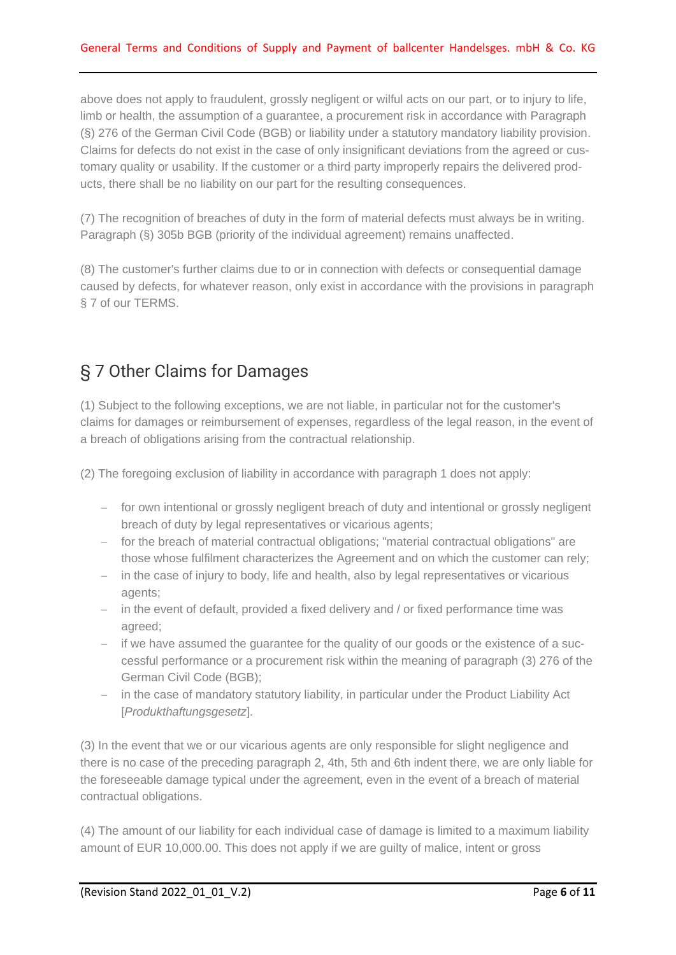above does not apply to fraudulent, grossly negligent or wilful acts on our part, or to injury to life, limb or health, the assumption of a guarantee, a procurement risk in accordance with Paragraph (§) 276 of the German Civil Code (BGB) or liability under a statutory mandatory liability provision. Claims for defects do not exist in the case of only insignificant deviations from the agreed or customary quality or usability. If the customer or a third party improperly repairs the delivered products, there shall be no liability on our part for the resulting consequences.

(7) The recognition of breaches of duty in the form of material defects must always be in writing. Paragraph (§) 305b BGB (priority of the individual agreement) remains unaffected.

(8) The customer's further claims due to or in connection with defects or consequential damage caused by defects, for whatever reason, only exist in accordance with the provisions in paragraph § 7 of our TERMS.

#### § 7 Other Claims for Damages

(1) Subject to the following exceptions, we are not liable, in particular not for the customer's claims for damages or reimbursement of expenses, regardless of the legal reason, in the event of a breach of obligations arising from the contractual relationship.

(2) The foregoing exclusion of liability in accordance with paragraph 1 does not apply:

- − for own intentional or grossly negligent breach of duty and intentional or grossly negligent breach of duty by legal representatives or vicarious agents;
- − for the breach of material contractual obligations; "material contractual obligations" are those whose fulfilment characterizes the Agreement and on which the customer can rely;
- − in the case of injury to body, life and health, also by legal representatives or vicarious agents;
- − in the event of default, provided a fixed delivery and / or fixed performance time was agreed;
- − if we have assumed the guarantee for the quality of our goods or the existence of a successful performance or a procurement risk within the meaning of paragraph (3) 276 of the German Civil Code (BGB);
- − in the case of mandatory statutory liability, in particular under the Product Liability Act [*Produkthaftungsgesetz*].

(3) In the event that we or our vicarious agents are only responsible for slight negligence and there is no case of the preceding paragraph 2, 4th, 5th and 6th indent there, we are only liable for the foreseeable damage typical under the agreement, even in the event of a breach of material contractual obligations.

(4) The amount of our liability for each individual case of damage is limited to a maximum liability amount of EUR 10,000.00. This does not apply if we are guilty of malice, intent or gross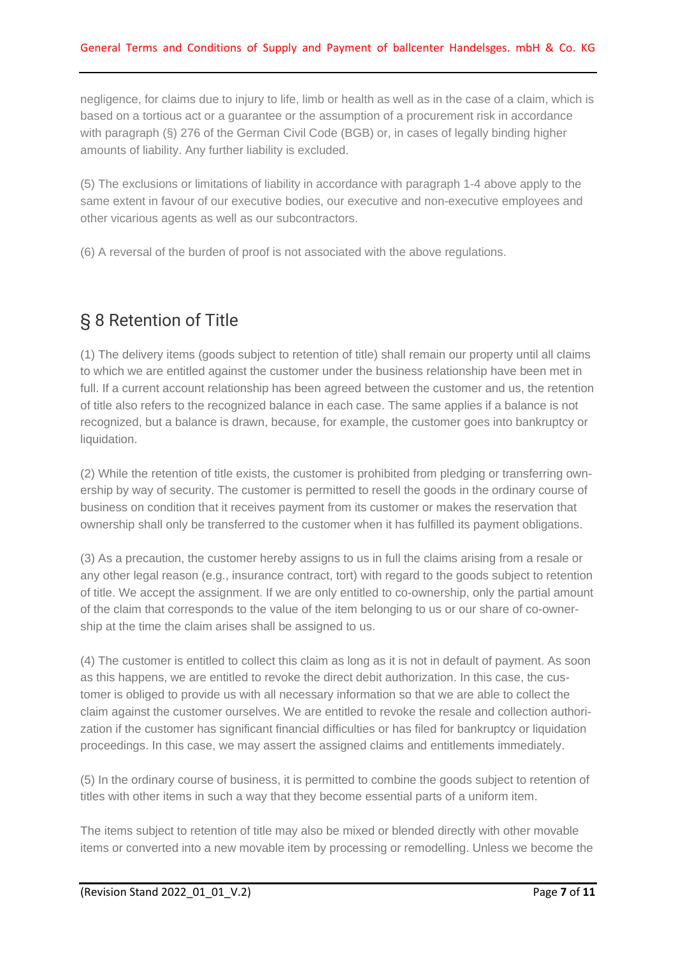negligence, for claims due to injury to life, limb or health as well as in the case of a claim, which is based on a tortious act or a guarantee or the assumption of a procurement risk in accordance with paragraph (§) 276 of the German Civil Code (BGB) or, in cases of legally binding higher amounts of liability. Any further liability is excluded.

(5) The exclusions or limitations of liability in accordance with paragraph 1-4 above apply to the same extent in favour of our executive bodies, our executive and non-executive employees and other vicarious agents as well as our subcontractors.

(6) A reversal of the burden of proof is not associated with the above regulations.

#### § 8 Retention of Title

(1) The delivery items (goods subject to retention of title) shall remain our property until all claims to which we are entitled against the customer under the business relationship have been met in full. If a current account relationship has been agreed between the customer and us, the retention of title also refers to the recognized balance in each case. The same applies if a balance is not recognized, but a balance is drawn, because, for example, the customer goes into bankruptcy or liquidation.

(2) While the retention of title exists, the customer is prohibited from pledging or transferring ownership by way of security. The customer is permitted to resell the goods in the ordinary course of business on condition that it receives payment from its customer or makes the reservation that ownership shall only be transferred to the customer when it has fulfilled its payment obligations.

(3) As a precaution, the customer hereby assigns to us in full the claims arising from a resale or any other legal reason (e.g., insurance contract, tort) with regard to the goods subject to retention of title. We accept the assignment. If we are only entitled to co-ownership, only the partial amount of the claim that corresponds to the value of the item belonging to us or our share of co-ownership at the time the claim arises shall be assigned to us.

(4) The customer is entitled to collect this claim as long as it is not in default of payment. As soon as this happens, we are entitled to revoke the direct debit authorization. In this case, the customer is obliged to provide us with all necessary information so that we are able to collect the claim against the customer ourselves. We are entitled to revoke the resale and collection authorization if the customer has significant financial difficulties or has filed for bankruptcy or liquidation proceedings. In this case, we may assert the assigned claims and entitlements immediately.

(5) In the ordinary course of business, it is permitted to combine the goods subject to retention of titles with other items in such a way that they become essential parts of a uniform item.

The items subject to retention of title may also be mixed or blended directly with other movable items or converted into a new movable item by processing or remodelling. Unless we become the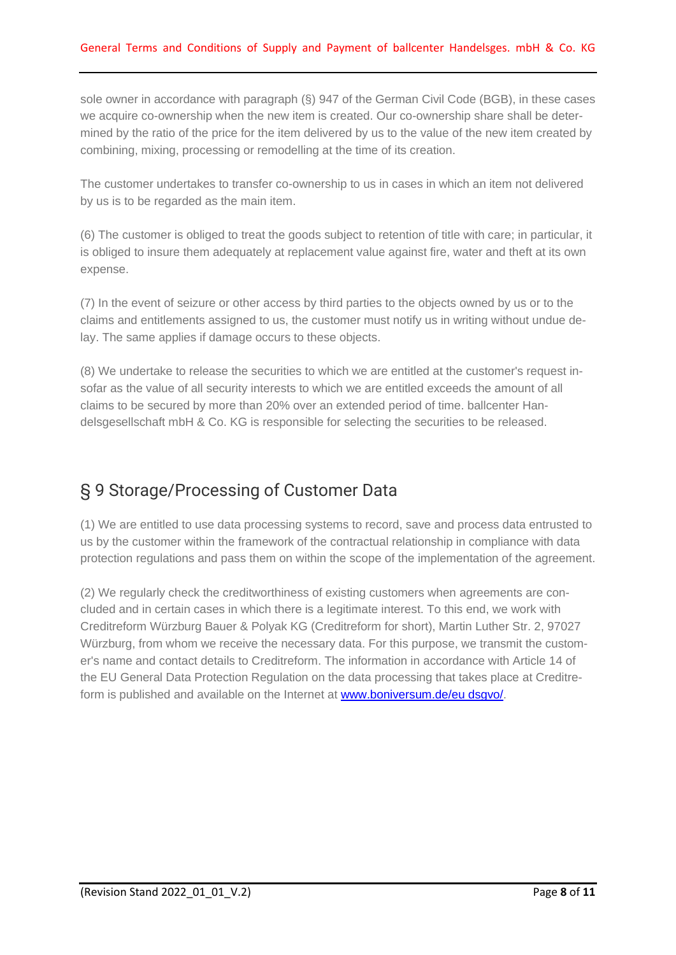sole owner in accordance with paragraph (§) 947 of the German Civil Code (BGB), in these cases we acquire co-ownership when the new item is created. Our co-ownership share shall be determined by the ratio of the price for the item delivered by us to the value of the new item created by combining, mixing, processing or remodelling at the time of its creation.

The customer undertakes to transfer co-ownership to us in cases in which an item not delivered by us is to be regarded as the main item.

(6) The customer is obliged to treat the goods subject to retention of title with care; in particular, it is obliged to insure them adequately at replacement value against fire, water and theft at its own expense.

(7) In the event of seizure or other access by third parties to the objects owned by us or to the claims and entitlements assigned to us, the customer must notify us in writing without undue delay. The same applies if damage occurs to these objects.

(8) We undertake to release the securities to which we are entitled at the customer's request insofar as the value of all security interests to which we are entitled exceeds the amount of all claims to be secured by more than 20% over an extended period of time. ballcenter Handelsgesellschaft mbH & Co. KG is responsible for selecting the securities to be released.

#### § 9 Storage/Processing of Customer Data

(1) We are entitled to use data processing systems to record, save and process data entrusted to us by the customer within the framework of the contractual relationship in compliance with data protection regulations and pass them on within the scope of the implementation of the agreement.

(2) We regularly check the creditworthiness of existing customers when agreements are concluded and in certain cases in which there is a legitimate interest. To this end, we work with Creditreform Würzburg Bauer & Polyak KG (Creditreform for short), Martin Luther Str. 2, 97027 Würzburg, from whom we receive the necessary data. For this purpose, we transmit the customer's name and contact details to Creditreform. The information in accordance with Article 14 of the EU General Data Protection Regulation on the data processing that takes place at Creditreform is published and available on the Internet at **www.boniversum.de/eu dsgvo/**.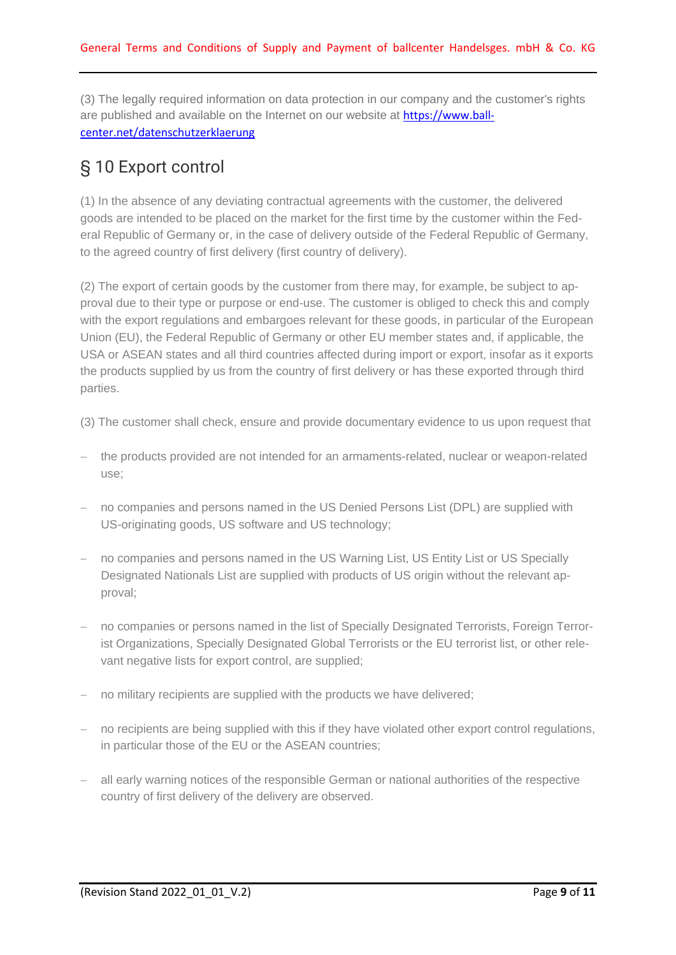(3) The legally required information on data protection in our company and the customer's rights are published and available on the Internet on our website at [https://www.ball](https://www.ballcenter.net/datenschutzerklaerung)[center.net/datenschutzerklaerung](https://www.ballcenter.net/datenschutzerklaerung)

#### § 10 Export control

(1) In the absence of any deviating contractual agreements with the customer, the delivered goods are intended to be placed on the market for the first time by the customer within the Federal Republic of Germany or, in the case of delivery outside of the Federal Republic of Germany, to the agreed country of first delivery (first country of delivery).

(2) The export of certain goods by the customer from there may, for example, be subject to approval due to their type or purpose or end-use. The customer is obliged to check this and comply with the export regulations and embargoes relevant for these goods, in particular of the European Union (EU), the Federal Republic of Germany or other EU member states and, if applicable, the USA or ASEAN states and all third countries affected during import or export, insofar as it exports the products supplied by us from the country of first delivery or has these exported through third parties.

- (3) The customer shall check, ensure and provide documentary evidence to us upon request that
- − the products provided are not intended for an armaments-related, nuclear or weapon-related use;
- − no companies and persons named in the US Denied Persons List (DPL) are supplied with US-originating goods, US software and US technology;
- no companies and persons named in the US Warning List, US Entity List or US Specially Designated Nationals List are supplied with products of US origin without the relevant approval;
- − no companies or persons named in the list of Specially Designated Terrorists, Foreign Terrorist Organizations, Specially Designated Global Terrorists or the EU terrorist list, or other relevant negative lists for export control, are supplied;
- no military recipients are supplied with the products we have delivered;
- − no recipients are being supplied with this if they have violated other export control regulations, in particular those of the EU or the ASEAN countries;
- − all early warning notices of the responsible German or national authorities of the respective country of first delivery of the delivery are observed.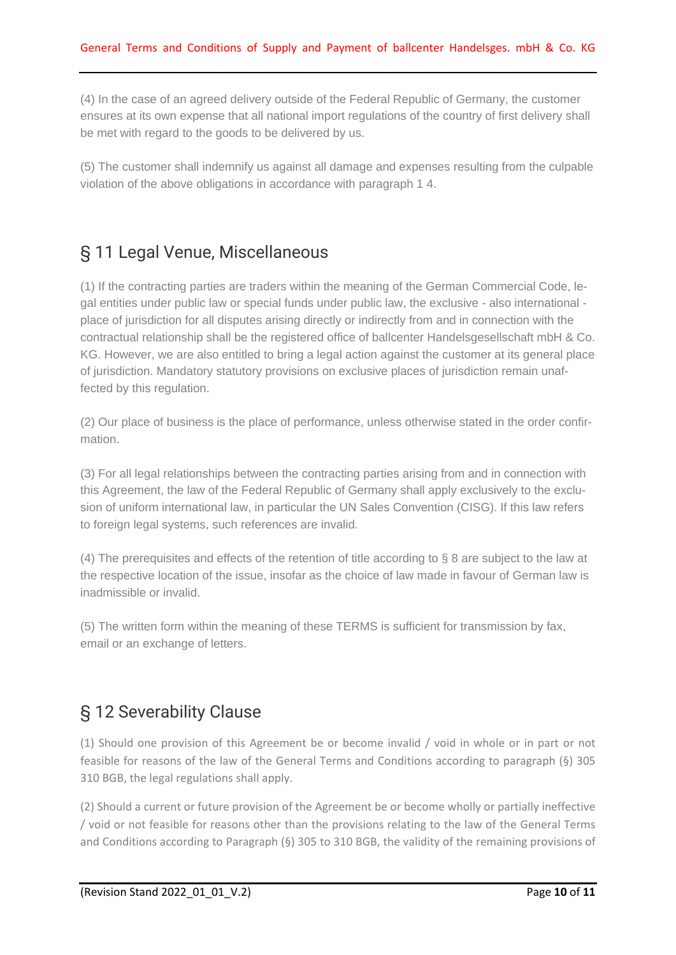(4) In the case of an agreed delivery outside of the Federal Republic of Germany, the customer ensures at its own expense that all national import regulations of the country of first delivery shall be met with regard to the goods to be delivered by us.

(5) The customer shall indemnify us against all damage and expenses resulting from the culpable violation of the above obligations in accordance with paragraph 1 4.

#### § 11 Legal Venue, Miscellaneous

(1) If the contracting parties are traders within the meaning of the German Commercial Code, legal entities under public law or special funds under public law, the exclusive - also international place of jurisdiction for all disputes arising directly or indirectly from and in connection with the contractual relationship shall be the registered office of ballcenter Handelsgesellschaft mbH & Co. KG. However, we are also entitled to bring a legal action against the customer at its general place of jurisdiction. Mandatory statutory provisions on exclusive places of jurisdiction remain unaffected by this regulation.

(2) Our place of business is the place of performance, unless otherwise stated in the order confirmation.

(3) For all legal relationships between the contracting parties arising from and in connection with this Agreement, the law of the Federal Republic of Germany shall apply exclusively to the exclusion of uniform international law, in particular the UN Sales Convention (CISG). If this law refers to foreign legal systems, such references are invalid.

(4) The prerequisites and effects of the retention of title according to § 8 are subject to the law at the respective location of the issue, insofar as the choice of law made in favour of German law is inadmissible or invalid.

(5) The written form within the meaning of these TERMS is sufficient for transmission by fax, email or an exchange of letters.

## § 12 Severability Clause

(1) Should one provision of this Agreement be or become invalid / void in whole or in part or not feasible for reasons of the law of the General Terms and Conditions according to paragraph (§) 305 310 BGB, the legal regulations shall apply.

(2) Should a current or future provision of the Agreement be or become wholly or partially ineffective / void or not feasible for reasons other than the provisions relating to the law of the General Terms and Conditions according to Paragraph (§) 305 to 310 BGB, the validity of the remaining provisions of